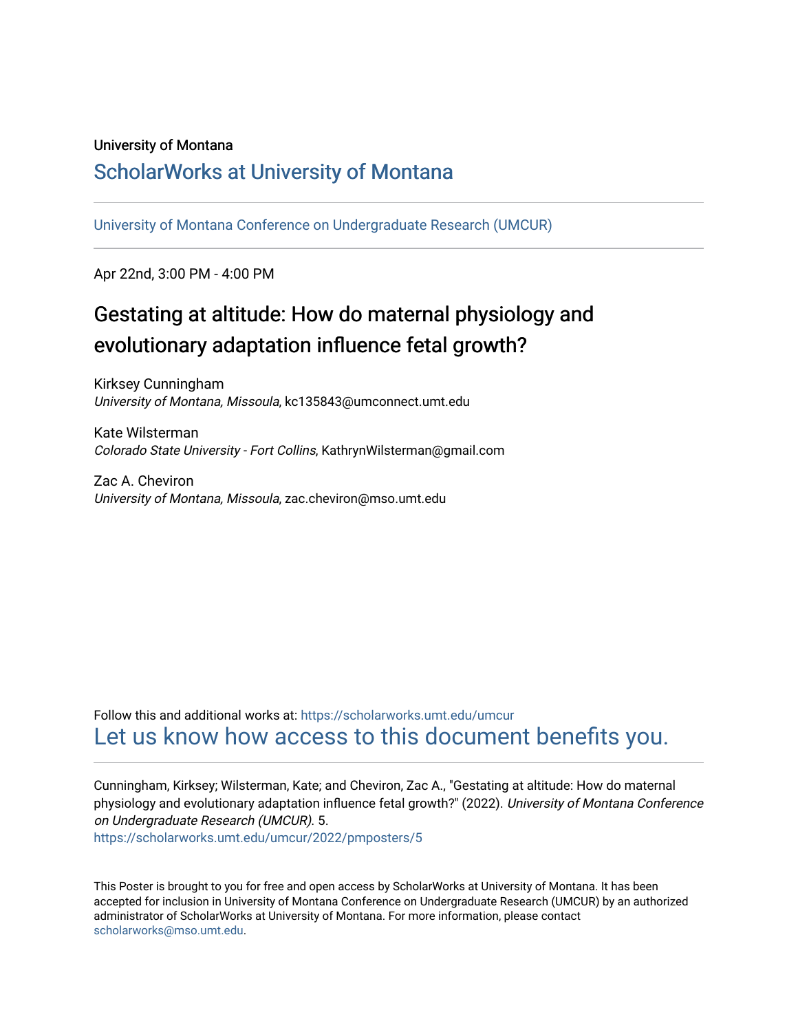#### University of Montana

#### [ScholarWorks at University of Montana](https://scholarworks.umt.edu/)

[University of Montana Conference on Undergraduate Research \(UMCUR\)](https://scholarworks.umt.edu/umcur)

Apr 22nd, 3:00 PM - 4:00 PM

#### Gestating at altitude: How do maternal physiology and evolutionary adaptation influence fetal growth?

Kirksey Cunningham University of Montana, Missoula, kc135843@umconnect.umt.edu

Kate Wilsterman Colorado State University - Fort Collins, KathrynWilsterman@gmail.com

Zac A. Cheviron University of Montana, Missoula, zac.cheviron@mso.umt.edu

Follow this and additional works at: [https://scholarworks.umt.edu/umcur](https://scholarworks.umt.edu/umcur?utm_source=scholarworks.umt.edu%2Fumcur%2F2022%2Fpmposters%2F5&utm_medium=PDF&utm_campaign=PDFCoverPages)  [Let us know how access to this document benefits you.](https://goo.gl/forms/s2rGfXOLzz71qgsB2) 

Cunningham, Kirksey; Wilsterman, Kate; and Cheviron, Zac A., "Gestating at altitude: How do maternal physiology and evolutionary adaptation influence fetal growth?" (2022). University of Montana Conference on Undergraduate Research (UMCUR). 5. [https://scholarworks.umt.edu/umcur/2022/pmposters/5](https://scholarworks.umt.edu/umcur/2022/pmposters/5?utm_source=scholarworks.umt.edu%2Fumcur%2F2022%2Fpmposters%2F5&utm_medium=PDF&utm_campaign=PDFCoverPages)

This Poster is brought to you for free and open access by ScholarWorks at University of Montana. It has been accepted for inclusion in University of Montana Conference on Undergraduate Research (UMCUR) by an authorized administrator of ScholarWorks at University of Montana. For more information, please contact [scholarworks@mso.umt.edu.](mailto:scholarworks@mso.umt.edu)